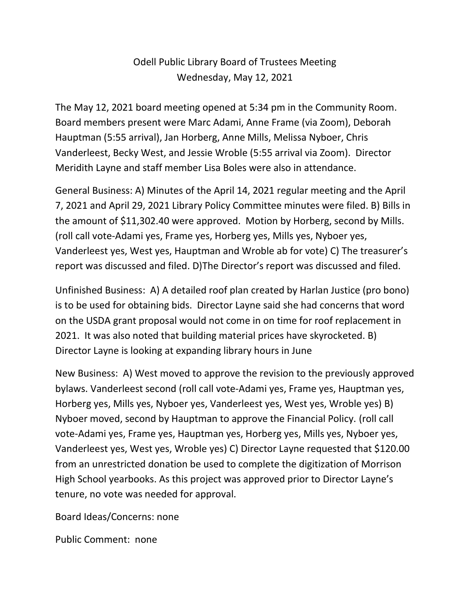## Odell Public Library Board of Trustees Meeting Wednesday, May 12, 2021

The May 12, 2021 board meeting opened at 5:34 pm in the Community Room. Board members present were Marc Adami, Anne Frame (via Zoom), Deborah Hauptman (5:55 arrival), Jan Horberg, Anne Mills, Melissa Nyboer, Chris Vanderleest, Becky West, and Jessie Wroble (5:55 arrival via Zoom). Director Meridith Layne and staff member Lisa Boles were also in attendance.

General Business: A) Minutes of the April 14, 2021 regular meeting and the April 7, 2021 and April 29, 2021 Library Policy Committee minutes were filed. B) Bills in the amount of \$11,302.40 were approved. Motion by Horberg, second by Mills. (roll call vote-Adami yes, Frame yes, Horberg yes, Mills yes, Nyboer yes, Vanderleest yes, West yes, Hauptman and Wroble ab for vote) C) The treasurer's report was discussed and filed. D)The Director's report was discussed and filed.

Unfinished Business: A) A detailed roof plan created by Harlan Justice (pro bono) is to be used for obtaining bids. Director Layne said she had concerns that word on the USDA grant proposal would not come in on time for roof replacement in 2021. It was also noted that building material prices have skyrocketed. B) Director Layne is looking at expanding library hours in June

New Business: A) West moved to approve the revision to the previously approved bylaws. Vanderleest second (roll call vote-Adami yes, Frame yes, Hauptman yes, Horberg yes, Mills yes, Nyboer yes, Vanderleest yes, West yes, Wroble yes) B) Nyboer moved, second by Hauptman to approve the Financial Policy. (roll call vote-Adami yes, Frame yes, Hauptman yes, Horberg yes, Mills yes, Nyboer yes, Vanderleest yes, West yes, Wroble yes) C) Director Layne requested that \$120.00 from an unrestricted donation be used to complete the digitization of Morrison High School yearbooks. As this project was approved prior to Director Layne's tenure, no vote was needed for approval.

Board Ideas/Concerns: none

Public Comment: none